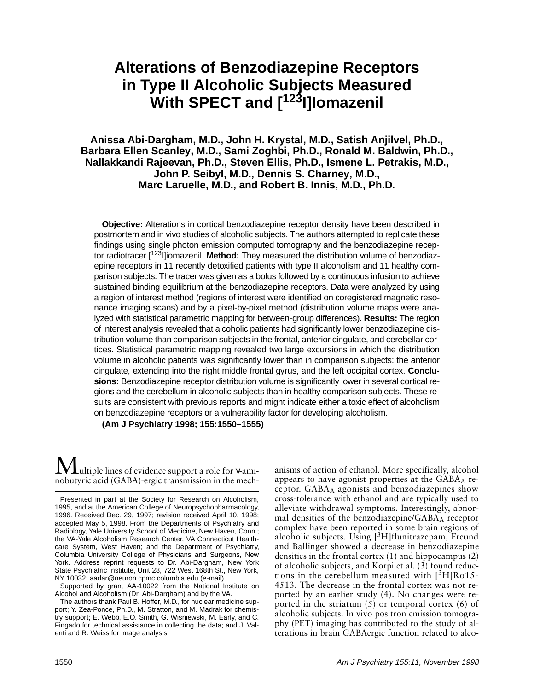# **Alterations of Benzodiazepine Receptors in Type II Alcoholic Subjects Measured With SPECT and [123I]Iomazenil**

# **Anissa Abi-Dargham, M.D., John H. Krystal, M.D., Satish Anjilvel, Ph.D., Barbara Ellen Scanley, M.D., Sami Zoghbi, Ph.D., Ronald M. Baldwin, Ph.D., Nallakkandi Rajeevan, Ph.D., Steven Ellis, Ph.D., Ismene L. Petrakis, M.D., John P. Seibyl, M.D., Dennis S. Charney, M.D., Marc Laruelle, M.D., and Robert B. Innis, M.D., Ph.D.**

**Objective:** Alterations in cortical benzodiazepine receptor density have been described in postmortem and in vivo studies of alcoholic subjects. The authors attempted to replicate these findings using single photon emission computed tomography and the benzodiazepine receptor radiotracer [123I]iomazenil. **Method:** They measured the distribution volume of benzodiazepine receptors in 11 recently detoxified patients with type II alcoholism and 11 healthy comparison subjects. The tracer was given as a bolus followed by a continuous infusion to achieve sustained binding equilibrium at the benzodiazepine receptors. Data were analyzed by using a region of interest method (regions of interest were identified on coregistered magnetic resonance imaging scans) and by a pixel-by-pixel method (distribution volume maps were analyzed with statistical parametric mapping for between-group differences). **Results:** The region of interest analysis revealed that alcoholic patients had significantly lower benzodiazepine distribution volume than comparison subjects in the frontal, anterior cingulate, and cerebellar cortices. Statistical parametric mapping revealed two large excursions in which the distribution volume in alcoholic patients was significantly lower than in comparison subjects: the anterior cingulate, extending into the right middle frontal gyrus, and the left occipital cortex. **Conclusions:** Benzodiazepine receptor distribution volume is significantly lower in several cortical regions and the cerebellum in alcoholic subjects than in healthy comparison subjects. These results are consistent with previous reports and might indicate either a toxic effect of alcoholism on benzodiazepine receptors or a vulnerability factor for developing alcoholism.

**(Am J Psychiatry 1998; 155:1550–1555)**

Lultiple lines of evidence support a role for  $\gamma$ -aminobutyric acid (GABA)-ergic transmission in the mech-

Supported by grant AA-10022 from the National Institute on Alcohol and Alcoholism (Dr. Abi-Dargham) and by the VA.

The authors thank Paul B. Hoffer, M.D., for nuclear medicine support; Y. Zea-Ponce, Ph.D., M. Stratton, and M. Madrak for chemistry support; E. Webb, E.O. Smith, G. Wisniewski, M. Early, and C. Fingado for technical assistance in collecting the data; and J. Valenti and R. Weiss for image analysis.

anisms of action of ethanol. More specifically, alcohol appears to have agonist properties at the GABAA receptor. GABAA agonists and benzodiazepines show cross-tolerance with ethanol and are typically used to alleviate withdrawal symptoms. Interestingly, abnormal densities of the benzodiazepine/GABAA receptor complex have been reported in some brain regions of alcoholic subjects. Using [3H]flunitrazepam, Freund and Ballinger showed a decrease in benzodiazepine densities in the frontal cortex (1) and hippocampus (2) of alcoholic subjects, and Korpi et al. (3) found reductions in the cerebellum measured with  $[{}^{3}H]Ro15$ -4513. The decrease in the frontal cortex was not reported by an earlier study (4). No changes were reported in the striatum (5) or temporal cortex (6) of alcoholic subjects. In vivo positron emission tomography (PET) imaging has contributed to the study of alterations in brain GABAergic function related to alco-

Presented in part at the Society for Research on Alcoholism, 1995, and at the American College of Neuropsychopharmacology, 1996. Received Dec. 29, 1997; revision received April 10, 1998; accepted May 5, 1998. From the Departments of Psychiatry and Radiology, Yale University School of Medicine, New Haven, Conn.; the VA-Yale Alcoholism Research Center, VA Connecticut Healthcare System, West Haven; and the Department of Psychiatry, Columbia University College of Physicians and Surgeons, New York. Address reprint requests to Dr. Abi-Dargham, New York State Psychiatric Institute, Unit 28, 722 West 168th St., New York, NY 10032; aadar@neuron.cpmc.columbia.edu (e-mail).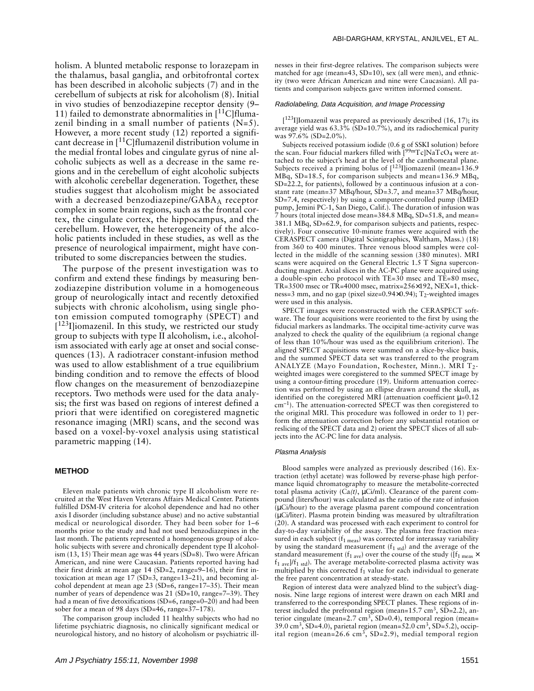holism. A blunted metabolic response to lorazepam in the thalamus, basal ganglia, and orbitofrontal cortex has been described in alcoholic subjects (7) and in the cerebellum of subjects at risk for alcoholism (8). Initial in vivo studies of benzodiazepine receptor density (9– 11) failed to demonstrate abnormalities in  $[$ <sup>11</sup>C]flumazenil binding in a small number of patients  $(N=5)$ . However, a more recent study (12) reported a significant decrease in [11C]flumazenil distribution volume in the medial frontal lobes and cingulate gyrus of nine alcoholic subjects as well as a decrease in the same regions and in the cerebellum of eight alcoholic subjects with alcoholic cerebellar degeneration. Together, these studies suggest that alcoholism might be associated with a decreased benzodiazepine/GABAA receptor complex in some brain regions, such as the frontal cortex, the cingulate cortex, the hippocampus, and the cerebellum. However, the heterogeneity of the alcoholic patients included in these studies, as well as the presence of neurological impairment, might have contributed to some discrepancies between the studies.

The purpose of the present investigation was to confirm and extend these findings by measuring benzodiazepine distribution volume in a homogeneous group of neurologically intact and recently detoxified subjects with chronic alcoholism, using single photon emission computed tomography (SPECT) and [<sup>123</sup>I]iomazenil. In this study, we restricted our study group to subjects with type II alcoholism, i.e., alcoholism associated with early age at onset and social consequences (13). A radiotracer constant-infusion method was used to allow establishment of a true equilibrium binding condition and to remove the effects of blood flow changes on the measurement of benzodiazepine receptors. Two methods were used for the data analysis; the first was based on regions of interest defined a priori that were identified on coregistered magnetic resonance imaging (MRI) scans, and the second was based on a voxel-by-voxel analysis using statistical parametric mapping (14).

# **METHOD**

Eleven male patients with chronic type II alcoholism were recruited at the West Haven Veterans Affairs Medical Center. Patients fulfilled DSM-IV criteria for alcohol dependence and had no other axis I disorder (including substance abuse) and no active substantial medical or neurological disorder. They had been sober for 1–6 months prior to the study and had not used benzodiazepines in the last month. The patients represented a homogeneous group of alcoholic subjects with severe and chronically dependent type II alcoholism (13, 15) Their mean age was 44 years (SD=8). Two were African American, and nine were Caucasian. Patients reported having had their first drink at mean age 14 (SD=2, range=9–16), their first intoxication at mean age 17 (SD=3, range=13–21), and becoming alcohol dependent at mean age 23 (SD=6, range=17-35). Their mean number of years of dependence was 21 (SD=10, range=7–39). They had a mean of five detoxifications (SD=6, range=0–20) and had been sober for a mean of 98 days (SD=46, range=37–178).

The comparison group included 11 healthy subjects who had no lifetime psychiatric diagnosis, no clinically significant medical or neurological history, and no history of alcoholism or psychiatric illnesses in their first-degree relatives. The comparison subjects were matched for age (mean=43, SD=10), sex (all were men), and ethnicity (two were African American and nine were Caucasian). All patients and comparison subjects gave written informed consent.

## Radiolabeling, Data Acquisition, and Image Processing

 $[1^{123}$ I]Iomazenil was prepared as previously described (16, 17); its average yield was  $63.3\%$  (SD=10.7%), and its radiochemical purity was 97.6% (SD=2.0%).

Subjects received potassium iodide (0.6 g of SSKI solution) before<br>the scan. Four fiducial markers filled with  $[{}^{99m}Tc]NaTcO_4$  were attached to the subject's head at the level of the canthomeatal plane. Subjects received a priming bolus of  $[1^{23}$ I]iomazenil (mean=136.9 MBq, SD=18.5, for comparison subjects and mean=136.9 MBq, SD=22.2, for patients), followed by a continuous infusion at a constant rate (mean=37 MBq/hour, SD=3.7, and mean=37 MBq/hour, SD=7.4, respectively) by using a computer-controlled pump (IMED pump, Jemini PC-1, San Diego, Calif.). The duration of infusion was 7 hours (total injected dose mean=384.8 MBq, SD=51.8, and mean= 381.1 MBq, SD=62.9, for comparison subjects and patients, respectively). Four consecutive 10-minute frames were acquired with the CERASPECT camera (Digital Scintigraphics, Waltham, Mass.) (18) from 360 to 400 minutes. Three venous blood samples were collected in the middle of the scanning session (380 minutes). MRI scans were acquired on the General Electric 1.5 T Signa superconducting magnet. Axial slices in the AC-PC plane were acquired using a double-spin echo protocol with TE=30 msec and TE=80 msec, TR=3500 msec or TR=4000 msec, matrix=256×192, NEX=1, thickness=3 mm, and no gap (pixel size=0.94 $\times$ 0.94); T<sub>2</sub>-weighted images were used in this analysis.

SPECT images were reconstructed with the CERASPECT software. The four acquisitions were reoriented to the first by using the fiducial markers as landmarks. The occipital time-activity curve was analyzed to check the quality of the equilibrium (a regional change of less than 10%/hour was used as the equilibrium criterion). The aligned SPECT acquisitions were summed on a slice-by-slice basis, and the summed SPECT data set was transferred to the program ANALYZE (Mayo Foundation, Rochester, Minn.). MRI T2 weighted images were coregistered to the summed SPECT image by using a contour-fitting procedure (19). Uniform attenuation correction was performed by using an ellipse drawn around the skull, as identified on the coregistered MRI (attenuation coefficient  $\mu$ =0.12 cm–1). The attenuation-corrected SPECT was then coregistered to the original MRI. This procedure was followed in order to 1) perform the attenuation correction before any substantial rotation or reslicing of the SPECT data and 2) orient the SPECT slices of all subjects into the AC-PC line for data analysis.

#### Plasma Analysis

Blood samples were analyzed as previously described (16). Extraction (ethyl acetate) was followed by reverse-phase high performance liquid chromatography to measure the metabolite-corrected total plasma activity  $(Ca(t), \mu Ci/ml)$ . Clearance of the parent compound (liters/hour) was calculated as the ratio of the rate of infusion (µCi/hour) to the average plasma parent compound concentration (µCi/liter). Plasma protein binding was measured by ultrafiltration (20). A standard was processed with each experiment to control for day-to-day variability of the assay. The plasma free fraction measured in each subject ( $f_{1 \text{ meas}}$ ) was corrected for interassay variability by using the standard measurement  $(f_{1 \text{ std}})$  and the average of the standard measurement ( $f_{1 \text{ ave}}$ ) over the course of the study ( $[f_{1 \text{ meas}} \times$  $f_{1 \text{ ave}}$ / $f_{1 \text{ std}}$ ). The average metabolite-corrected plasma activity was multiplied by this corrected  $f_1$  value for each individual to generate the free parent concentration at steady-state.

Region of interest data were analyzed blind to the subject's diagnosis. Nine large regions of interest were drawn on each MRI and transferred to the corresponding SPECT planes. These regions of interest included the prefrontal region (mean= $15.7 \text{ cm}^3$ , SD=2.2), anterior cingulate (mean=2.7 cm<sup>3</sup>, SD=0.4), temporal region (mean= 39.0 cm3, SD=4.0), parietal region (mean=52.0 cm3, SD=5.2), occipital region (mean=26.6 cm<sup>3</sup>, SD=2.9), medial temporal region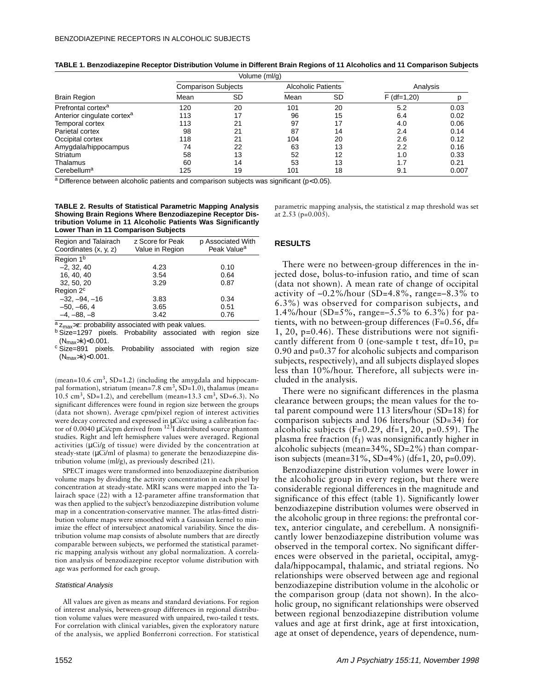|                                        | Volume (ml/g)              |           |                           |           |               |       |
|----------------------------------------|----------------------------|-----------|---------------------------|-----------|---------------|-------|
|                                        | <b>Comparison Subjects</b> |           | <b>Alcoholic Patients</b> |           | Analysis      |       |
| <b>Brain Region</b>                    | Mean                       | <b>SD</b> | Mean                      | <b>SD</b> | $F$ (df=1,20) |       |
| Prefrontal cortex <sup>a</sup>         | 120                        | 20        | 101                       | 20        | 5.2           | 0.03  |
| Anterior cingulate cortex <sup>a</sup> | 113                        | 17        | 96                        | 15        | 6.4           | 0.02  |
| Temporal cortex                        | 113                        | 21        | 97                        | 17        | 4.0           | 0.06  |
| Parietal cortex                        | 98                         | 21        | 87                        | 14        | 2.4           | 0.14  |
| Occipital cortex                       | 118                        | 21        | 104                       | 20        | 2.6           | 0.12  |
| Amygdala/hippocampus                   | 74                         | 22        | 63                        | 13        | 2.2           | 0.16  |
| <b>Striatum</b>                        | 58                         | 13        | 52                        | 12        | 1.0           | 0.33  |
| Thalamus                               | 60                         | 14        | 53                        | 13        | 1.7           | 0.21  |
| Cerebellum <sup>a</sup>                | 125                        | 19        | 101                       | 18        | 9.1           | 0.007 |

**TABLE 1. Benzodiazepine Receptor Distribution Volume in Different Brain Regions of 11 Alcoholics and 11 Comparison Subjects**

a Difference between alcoholic patients and comparison subjects was significant ( $p < 0.05$ ).

**TABLE 2. Results of Statistical Parametric Mapping Analysis Showing Brain Regions Where Benzodiazepine Receptor Distribution Volume in 11 Alcoholic Patients Was Significantly Lower Than in 11 Comparison Subjects**

| Region and Talairach<br>Coordinates (x, y, z) | z Score for Peak<br>Value in Region | p Associated With<br>Peak Value <sup>a</sup> |
|-----------------------------------------------|-------------------------------------|----------------------------------------------|
| Region 1 <sup>b</sup>                         |                                     |                                              |
| $-2.32.40$                                    | 4.23                                | 0.10                                         |
| 16, 40, 40                                    | 3.54                                | 0.64                                         |
| 32, 50, 20                                    | 3.29                                | 0.87                                         |
| Region 2 <sup>c</sup>                         |                                     |                                              |
| $-32, -94, -16$                               | 3.83                                | 0.34                                         |
| $-50, -66, 4$                                 | 3.65                                | 0.51                                         |
| $-4, -88, -8$                                 | 3.42                                | 0.76                                         |

 $a_{\text{Zmax}}>z$ : probability associated with peak values.<br>
b Size=1297 pixels. Probability associated with region size<br>
(N<sub>max</sub>>k)<0.001.

 $\textdegree$  Size=891 pixels. Probability associated with region size  $(N_{max} > k) < 0.001$ .

(mean=10.6 cm<sup>3</sup>, SD=1.2) (including the amygdala and hippocampal formation), striatum (mean=7.8 cm<sup>3</sup>, SD=1.0), thalamus (mean= 10.5 cm<sup>3</sup>, SD=1.2), and cerebellum (mean=13.3 cm<sup>3</sup>, SD=6.3). No significant differences were found in region size between the groups (data not shown). Average cpm/pixel region of interest activities were decay corrected and expressed in µCi/cc using a calibration factor of 0.0040  $\mu$ Ci/cpm derived from  $^{123}$ I distributed source phantom studies. Right and left hemisphere values were averaged. Regional activities ( $\mu$ Ci/g of tissue) were divided by the concentration at steady-state (µCi/ml of plasma) to generate the benzodiazepine distribution volume (ml/g), as previously described (21).

SPECT images were transformed into benzodiazepine distribution volume maps by dividing the activity concentration in each pixel by concentration at steady-state. MRI scans were mapped into the Talairach space (22) with a 12-parameter affine transformation that was then applied to the subject's benzodiazepine distribution volume map in a concentration-conservative manner. The atlas-fitted distribution volume maps were smoothed with a Gaussian kernel to minimize the effect of intersubject anatomical variability. Since the distribution volume map consists of absolute numbers that are directly comparable between subjects, we performed the statistical parametric mapping analysis without any global normalization. A correlation analysis of benzodiazepine receptor volume distribution with age was performed for each group.

## Statistical Analysis

All values are given as means and standard deviations. For region of interest analysis, between-group differences in regional distribution volume values were measured with unpaired, two-tailed t tests. For correlation with clinical variables, given the exploratory nature of the analysis, we applied Bonferroni correction. For statistical parametric mapping analysis, the statistical z map threshold was set at 2.53 ( $p=0.005$ ).

# **RESULTS**

There were no between-group differences in the injected dose, bolus-to-infusion ratio, and time of scan (data not shown). A mean rate of change of occipital activity of  $-0.2\%$ /hour (SD=4.8%, range= $-8.3\%$  to 6.3%) was observed for comparison subjects, and 1.4%/hour (SD=5%, range=–5.5% to 6.3%) for patients, with no between-group differences (F=0.56, df= 1, 20, p=0.46). These distributions were not significantly different from 0 (one-sample t test,  $df=10$ , p= 0.90 and p=0.37 for alcoholic subjects and comparison subjects, respectively), and all subjects displayed slopes less than 10%/hour. Therefore, all subjects were included in the analysis.

There were no significant differences in the plasma clearance between groups; the mean values for the total parent compound were 113 liters/hour (SD=18) for comparison subjects and 106 liters/hour (SD=34) for alcoholic subjects  $(F=0.29, df=1, 20, p=0.59)$ . The plasma free fraction  $(f_1)$  was nonsignificantly higher in alcoholic subjects (mean=34%, SD=2%) than comparison subjects (mean= $31\%$ , SD= $4\%$ ) (df=1, 20, p=0.09).

Benzodiazepine distribution volumes were lower in the alcoholic group in every region, but there were considerable regional differences in the magnitude and significance of this effect (table 1). Significantly lower benzodiazepine distribution volumes were observed in the alcoholic group in three regions: the prefrontal cortex, anterior cingulate, and cerebellum. A nonsignificantly lower benzodiazepine distribution volume was observed in the temporal cortex. No significant differences were observed in the parietal, occipital, amygdala/hippocampal, thalamic, and striatal regions. No relationships were observed between age and regional benzodiazepine distribution volume in the alcoholic or the comparison group (data not shown). In the alcoholic group, no significant relationships were observed between regional benzodiazepine distribution volume values and age at first drink, age at first intoxication, age at onset of dependence, years of dependence, num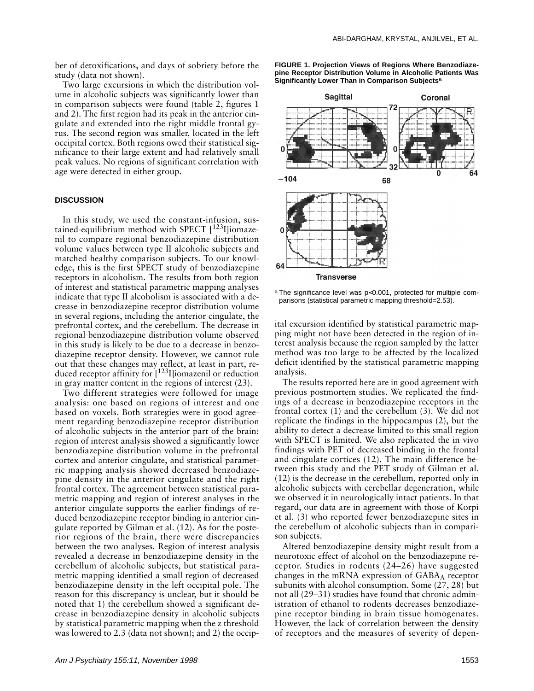ber of detoxifications, and days of sobriety before the study (data not shown).

Two large excursions in which the distribution volume in alcoholic subjects was significantly lower than in comparison subjects were found (table 2, figures 1 and 2). The first region had its peak in the anterior cingulate and extended into the right middle frontal gyrus. The second region was smaller, located in the left occipital cortex. Both regions owed their statistical significance to their large extent and had relatively small peak values. No regions of significant correlation with age were detected in either group.

# **DISCUSSION**

In this study, we used the constant-infusion, sustained-equilibrium method with SPECT  $[123]$ iomazenil to compare regional benzodiazepine distribution volume values between type II alcoholic subjects and matched healthy comparison subjects. To our knowledge, this is the first SPECT study of benzodiazepine receptors in alcoholism. The results from both region of interest and statistical parametric mapping analyses indicate that type II alcoholism is associated with a decrease in benzodiazepine receptor distribution volume in several regions, including the anterior cingulate, the prefrontal cortex, and the cerebellum. The decrease in regional benzodiazepine distribution volume observed in this study is likely to be due to a decrease in benzodiazepine receptor density. However, we cannot rule out that these changes may reflect, at least in part, reduced receptor affinity for [<sup>123</sup>I]iomazenil or reduction in gray matter content in the regions of interest (23).

Two different strategies were followed for image analysis: one based on regions of interest and one based on voxels. Both strategies were in good agreement regarding benzodiazepine receptor distribution of alcoholic subjects in the anterior part of the brain: region of interest analysis showed a significantly lower benzodiazepine distribution volume in the prefrontal cortex and anterior cingulate, and statistical parametric mapping analysis showed decreased benzodiazepine density in the anterior cingulate and the right frontal cortex. The agreement between statistical parametric mapping and region of interest analyses in the anterior cingulate supports the earlier findings of reduced benzodiazepine receptor binding in anterior cingulate reported by Gilman et al. (12). As for the posterior regions of the brain, there were discrepancies between the two analyses. Region of interest analysis revealed a decrease in benzodiazepine density in the cerebellum of alcoholic subjects, but statistical parametric mapping identified a small region of decreased benzodiazepine density in the left occipital pole. The reason for this discrepancy is unclear, but it should be noted that 1) the cerebellum showed a significant decrease in benzodiazepine density in alcoholic subjects by statistical parametric mapping when the z threshold was lowered to 2.3 (data not shown); and 2) the occip**FIGURE 1. Projection Views of Regions Where Benzodiazepine Receptor Distribution Volume in Alcoholic Patients Was Significantly Lower Than in Comparison Subjects<sup>a</sup>**



 $a$  The significance level was  $p<0.001$ , protected for multiple comparisons (statistical parametric mapping threshold=2.53).

ital excursion identified by statistical parametric mapping might not have been detected in the region of interest analysis because the region sampled by the latter method was too large to be affected by the localized deficit identified by the statistical parametric mapping analysis.

The results reported here are in good agreement with previous postmortem studies. We replicated the findings of a decrease in benzodiazepine receptors in the frontal cortex (1) and the cerebellum (3). We did not replicate the findings in the hippocampus (2), but the ability to detect a decrease limited to this small region with SPECT is limited. We also replicated the in vivo findings with PET of decreased binding in the frontal and cingulate cortices (12). The main difference between this study and the PET study of Gilman et al. (12) is the decrease in the cerebellum, reported only in alcoholic subjects with cerebellar degeneration, while we observed it in neurologically intact patients. In that regard, our data are in agreement with those of Korpi et al. (3) who reported fewer benzodiazepine sites in the cerebellum of alcoholic subjects than in comparison subjects.

Altered benzodiazepine density might result from a neurotoxic effect of alcohol on the benzodiazepine receptor. Studies in rodents (24–26) have suggested changes in the mRNA expression of GABAA receptor subunits with alcohol consumption. Some (27, 28) but not all (29–31) studies have found that chronic administration of ethanol to rodents decreases benzodiazepine receptor binding in brain tissue homogenates. However, the lack of correlation between the density of receptors and the measures of severity of depen-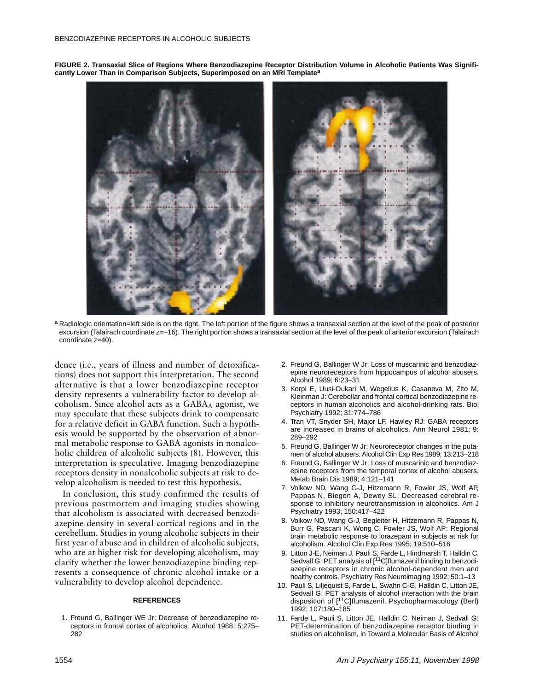**FIGURE 2. Transaxial Slice of Regions Where Benzodiazepine Receptor Distribution Volume in Alcoholic Patients Was Significantly Lower Than in Comparison Subjects, Superimposed on an MRI Template<sup>a</sup>**



a Radiologic orientation=left side is on the right. The left portion of the figure shows a transaxial section at the level of the peak of posterior excursion (Talairach coordinate z=-16). The right portion shows a transaxial section at the level of the peak of anterior excursion (Talairach coordinate z=40).

dence (i.e., years of illness and number of detoxifications) does not support this interpretation. The second alternative is that a lower benzodiazepine receptor density represents a vulnerability factor to develop alcoholism. Since alcohol acts as a GABAA agonist, we may speculate that these subjects drink to compensate for a relative deficit in GABA function. Such a hypothesis would be supported by the observation of abnormal metabolic response to GABA agonists in nonalcoholic children of alcoholic subjects (8). However, this interpretation is speculative. Imaging benzodiazepine receptors density in nonalcoholic subjects at risk to develop alcoholism is needed to test this hypothesis.

In conclusion, this study confirmed the results of previous postmortem and imaging studies showing that alcoholism is associated with decreased benzodiazepine density in several cortical regions and in the cerebellum. Studies in young alcoholic subjects in their first year of abuse and in children of alcoholic subjects, who are at higher risk for developing alcoholism, may clarify whether the lower benzodiazepine binding represents a consequence of chronic alcohol intake or a vulnerability to develop alcohol dependence.

# **REFERENCES**

1. Freund G, Ballinger WE Jr: Decrease of benzodiazepine receptors in frontal cortex of alcoholics. Alcohol 1988; 5:275– 282

- 2. Freund G, Ballinger W Jr: Loss of muscarinic and benzodiazepine neuroreceptors from hippocampus of alcohol abusers. Alcohol 1989; 6:23–31
- 3. Korpi E, Uusi-Oukari M, Wegelius K, Casanova M, Zito M, Kleinman J: Cerebellar and frontal cortical benzodiazepine receptors in human alcoholics and alcohol-drinking rats. Biol Psychiatry 1992; 31:774–786
- 4. Tran VT, Snyder SH, Major LF, Hawley RJ: GABA receptors are increased in brains of alcoholics. Ann Neurol 1981; 9: 289–292
- 5. Freund G, Ballinger W Jr: Neuroreceptor changes in the putamen of alcohol abusers. Alcohol Clin Exp Res 1989; 13:213–218
- 6. Freund G, Ballinger W Jr: Loss of muscarinic and benzodiazepine receptors from the temporal cortex of alcohol abusers. Metab Brain Dis 1989; 4:121–141
- 7. Volkow ND, Wang G-J, Hitzemann R, Fowler JS, Wolf AP, Pappas N, Biegon A, Dewey SL: Decreased cerebral response to inhibitory neurotransmission in alcoholics. Am J Psychiatry 1993; 150:417–422
- 8. Volkow ND, Wang G-J, Begleiter H, Hitzemann R, Pappas N, Burr G, Pascani K, Wong C, Fowler JS, Wolf AP: Regional brain metabolic response to lorazepam in subjects at risk for alcoholism. Alcohol Clin Exp Res 1995; 19:510–516
- 9. Litton J-E, Neiman J, Pauli S, Farde L, Hindmarsh T, Halldin C, Sedvall G: PET analysis of [<sup>11</sup>C]flumazenil binding to benzodiazepine receptors in chronic alcohol-dependent men and healthy controls. Psychiatry Res Neuroimaging 1992; 50:1–13
- 10. Pauli S, Liljequist S, Farde L, Swahn C-G, Halldin C, Litton JE, Sedvall G: PET analysis of alcohol interaction with the brain disposition of [<sup>11</sup>C]flumazenil. Psychopharmacology (Berl) 1992; 107:180–185
- 11. Farde L, Pauli S, Litton JE, Halldin C, Neiman J, Sedvall G: PET-determination of benzodiazepine receptor binding in studies on alcoholism, in Toward a Molecular Basis of Alcohol